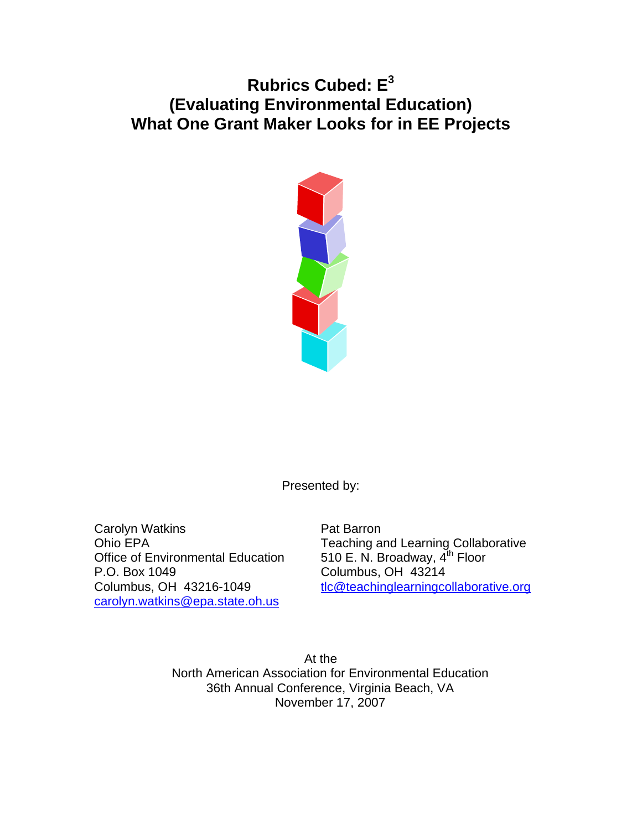# **Rubrics Cubed: E<sup>3</sup> (Evaluating Environmental Education) What One Grant Maker Looks for in EE Projects**



Presented by:

Carolyn Watkins **Pat Barron** Office of Environmental Education  $510$  E. N. Broadway,  $4<sup>th</sup>$  Floor P.O. Box 1049 Columbus, OH 43214 [carolyn.watkins@epa.state.oh.us](mailto:carolyn.watkins@epa.state.oh.us)

Ohio EPA **Teaching and Learning Collaborative** Columbus, OH 43216-1049 [tlc@teachinglearningcollaborative.org](mailto:tlc@teachinglearningcollaborative.org)

> At the North American Association for Environmental Education 36th Annual Conference, Virginia Beach, VA November 17, 2007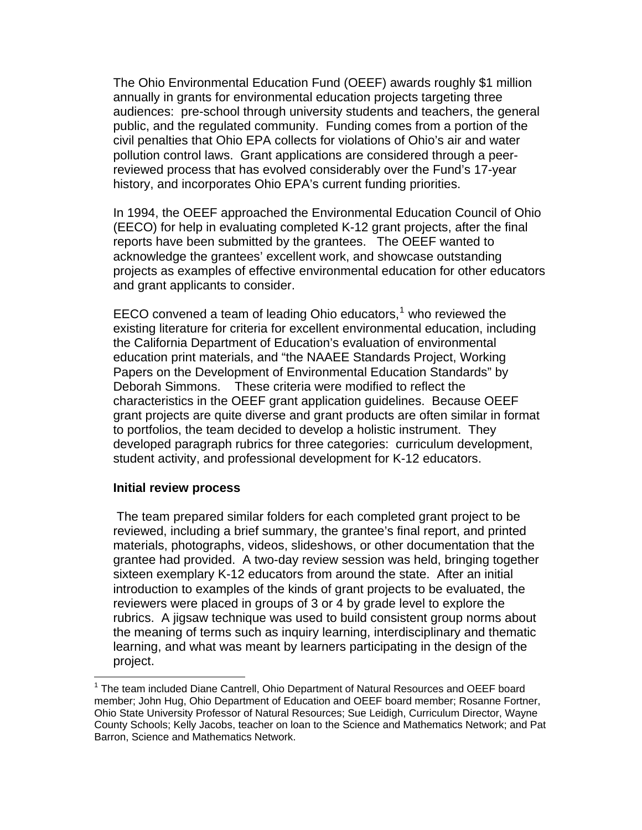The Ohio Environmental Education Fund (OEEF) awards roughly \$1 million annually in grants for environmental education projects targeting three audiences: pre-school through university students and teachers, the general public, and the regulated community. Funding comes from a portion of the civil penalties that Ohio EPA collects for violations of Ohio's air and water pollution control laws. Grant applications are considered through a peerreviewed process that has evolved considerably over the Fund's 17-year history, and incorporates Ohio EPA's current funding priorities.

In 1994, the OEEF approached the Environmental Education Council of Ohio (EECO) for help in evaluating completed K-12 grant projects, after the final reports have been submitted by the grantees. The OEEF wanted to acknowledge the grantees' excellent work, and showcase outstanding projects as examples of effective environmental education for other educators and grant applicants to consider.

EECO convened a team of leading Ohio educators, $1$  who reviewed the existing literature for criteria for excellent environmental education, including the California Department of Education's evaluation of environmental education print materials, and "the NAAEE Standards Project, Working Papers on the Development of Environmental Education Standards" by Deborah Simmons. These criteria were modified to reflect the characteristics in the OEEF grant application guidelines. Because OEEF grant projects are quite diverse and grant products are often similar in format to portfolios, the team decided to develop a holistic instrument. They developed paragraph rubrics for three categories: curriculum development, student activity, and professional development for K-12 educators.

#### **Initial review process**

 $\overline{a}$ 

 The team prepared similar folders for each completed grant project to be reviewed, including a brief summary, the grantee's final report, and printed materials, photographs, videos, slideshows, or other documentation that the grantee had provided. A two-day review session was held, bringing together sixteen exemplary K-12 educators from around the state. After an initial introduction to examples of the kinds of grant projects to be evaluated, the reviewers were placed in groups of 3 or 4 by grade level to explore the rubrics. A jigsaw technique was used to build consistent group norms about the meaning of terms such as inquiry learning, interdisciplinary and thematic learning, and what was meant by learners participating in the design of the project.

<span id="page-1-0"></span><sup>&</sup>lt;sup>1</sup> The team included Diane Cantrell, Ohio Department of Natural Resources and OEEF board member; John Hug, Ohio Department of Education and OEEF board member; Rosanne Fortner, Ohio State University Professor of Natural Resources; Sue Leidigh, Curriculum Director, Wayne County Schools; Kelly Jacobs, teacher on loan to the Science and Mathematics Network; and Pat Barron, Science and Mathematics Network.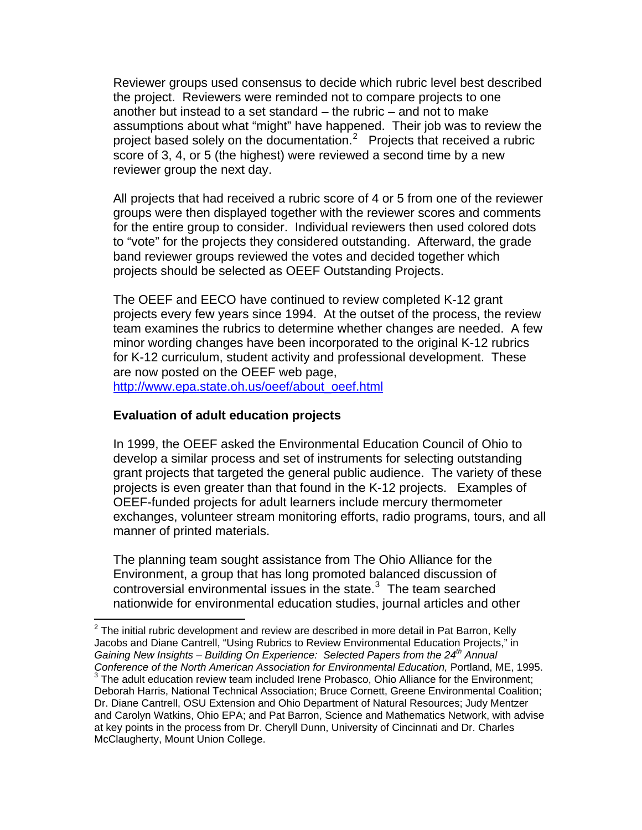Reviewer groups used consensus to decide which rubric level best described the project. Reviewers were reminded not to compare projects to one another but instead to a set standard – the rubric – and not to make assumptions about what "might" have happened. Their job was to review the project based solely on the documentation.<sup>[2](#page-2-0)</sup> Projects that received a rubric score of 3, 4, or 5 (the highest) were reviewed a second time by a new reviewer group the next day.

All projects that had received a rubric score of 4 or 5 from one of the reviewer groups were then displayed together with the reviewer scores and comments for the entire group to consider. Individual reviewers then used colored dots to "vote" for the projects they considered outstanding. Afterward, the grade band reviewer groups reviewed the votes and decided together which projects should be selected as OEEF Outstanding Projects.

The OEEF and EECO have continued to review completed K-12 grant projects every few years since 1994. At the outset of the process, the review team examines the rubrics to determine whether changes are needed. A few minor wording changes have been incorporated to the original K-12 rubrics for K-12 curriculum, student activity and professional development. These are now posted on the OEEF web page, [http://www.epa.state.oh.us/oeef/about\\_oeef.html](http://www.epa.state.oh.us/oeef/about_oeef.html)

# **Evaluation of adult education projects**

 $\overline{a}$ 

In 1999, the OEEF asked the Environmental Education Council of Ohio to develop a similar process and set of instruments for selecting outstanding grant projects that targeted the general public audience. The variety of these projects is even greater than that found in the K-12 projects. Examples of OEEF-funded projects for adult learners include mercury thermometer exchanges, volunteer stream monitoring efforts, radio programs, tours, and all manner of printed materials.

The planning team sought assistance from The Ohio Alliance for the Environment, a group that has long promoted balanced discussion of controversial environmental issues in the state. $3$  The team searched nationwide for environmental education studies, journal articles and other

<span id="page-2-0"></span> $2$  The initial rubric development and review are described in more detail in Pat Barron, Kelly Jacobs and Diane Cantrell, "Using Rubrics to Review Environmental Education Projects," in *Gaining New Insights – Building On Experience: Selected Papers from the 24th Annual Conference of the North American Association for Environmental Education,* Portland, ME, 1995.  $3$  The adult education review team included Irene Probasco, Ohio Alliance for the Environment; Deborah Harris, National Technical Association; Bruce Cornett, Greene Environmental Coalition;

<span id="page-2-1"></span>Dr. Diane Cantrell, OSU Extension and Ohio Department of Natural Resources; Judy Mentzer and Carolyn Watkins, Ohio EPA; and Pat Barron, Science and Mathematics Network, with advise at key points in the process from Dr. Cheryll Dunn, University of Cincinnati and Dr. Charles McClaugherty, Mount Union College.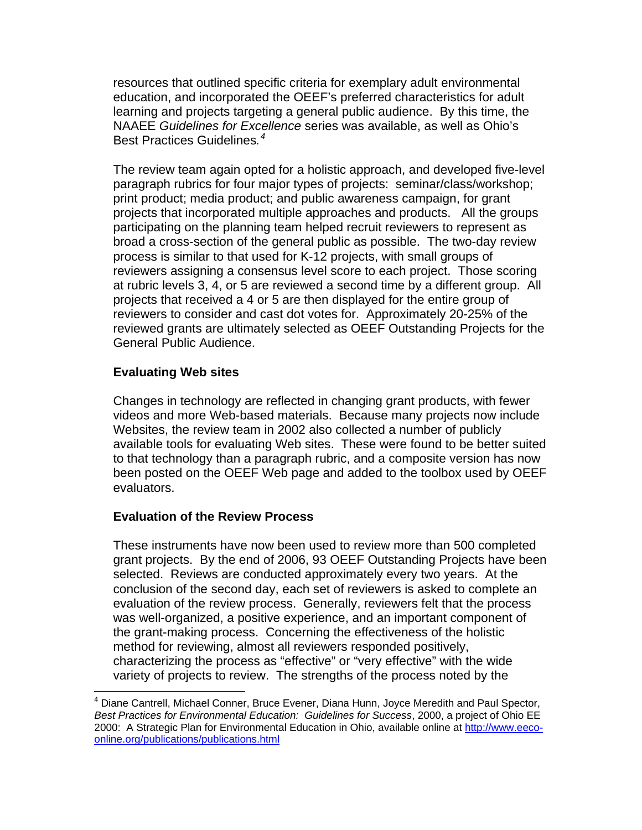resources that outlined specific criteria for exemplary adult environmental education, and incorporated the OEEF's preferred characteristics for adult learning and projects targeting a general public audience. By this time, the NAAEE *Guidelines for Excellence* series was available, as well as Ohio's Best Practices Guidelines*. [4](#page-3-0)*

The review team again opted for a holistic approach, and developed five-level paragraph rubrics for four major types of projects: seminar/class/workshop; print product; media product; and public awareness campaign, for grant projects that incorporated multiple approaches and products. All the groups participating on the planning team helped recruit reviewers to represent as broad a cross-section of the general public as possible. The two-day review process is similar to that used for K-12 projects, with small groups of reviewers assigning a consensus level score to each project. Those scoring at rubric levels 3, 4, or 5 are reviewed a second time by a different group. All projects that received a 4 or 5 are then displayed for the entire group of reviewers to consider and cast dot votes for. Approximately 20-25% of the reviewed grants are ultimately selected as OEEF Outstanding Projects for the General Public Audience.

## **Evaluating Web sites**

 $\overline{a}$ 

Changes in technology are reflected in changing grant products, with fewer videos and more Web-based materials. Because many projects now include Websites, the review team in 2002 also collected a number of publicly available tools for evaluating Web sites. These were found to be better suited to that technology than a paragraph rubric, and a composite version has now been posted on the OEEF Web page and added to the toolbox used by OEEF evaluators.

## **Evaluation of the Review Process**

These instruments have now been used to review more than 500 completed grant projects. By the end of 2006, 93 OEEF Outstanding Projects have been selected. Reviews are conducted approximately every two years. At the conclusion of the second day, each set of reviewers is asked to complete an evaluation of the review process. Generally, reviewers felt that the process was well-organized, a positive experience, and an important component of the grant-making process. Concerning the effectiveness of the holistic method for reviewing, almost all reviewers responded positively, characterizing the process as "effective" or "very effective" with the wide variety of projects to review. The strengths of the process noted by the

<span id="page-3-0"></span><sup>&</sup>lt;sup>4</sup> Diane Cantrell, Michael Conner, Bruce Evener, Diana Hunn, Joyce Meredith and Paul Spector, *Best Practices for Environmental Education: Guidelines for Success*, 2000, a project of Ohio EE 2000: A Strategic Plan for Environmental Education in Ohio, available online at [http://www.eeco](http://www.eeco-online.org/publications/publications.html)[online.org/publications/publications.html](http://www.eeco-online.org/publications/publications.html)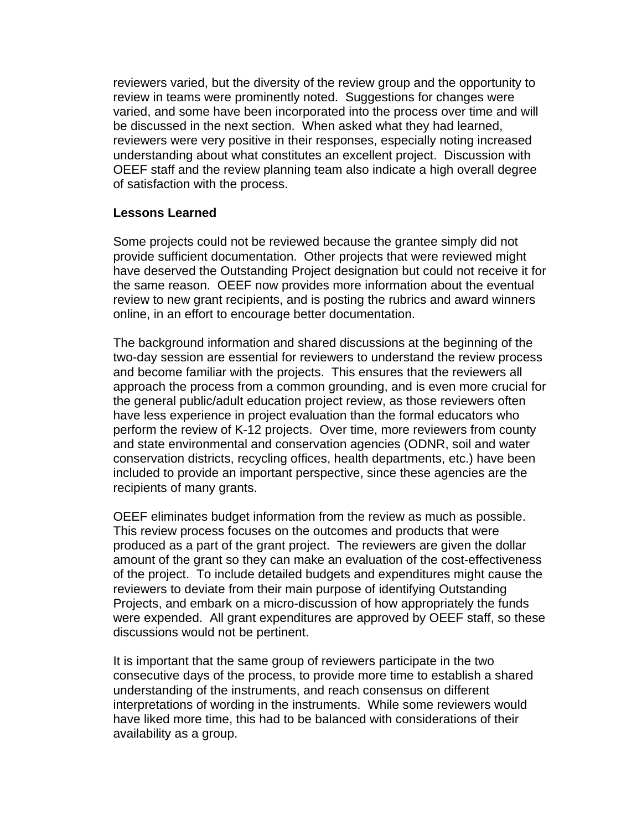reviewers varied, but the diversity of the review group and the opportunity to review in teams were prominently noted. Suggestions for changes were varied, and some have been incorporated into the process over time and will be discussed in the next section. When asked what they had learned, reviewers were very positive in their responses, especially noting increased understanding about what constitutes an excellent project. Discussion with OEEF staff and the review planning team also indicate a high overall degree of satisfaction with the process.

#### **Lessons Learned**

Some projects could not be reviewed because the grantee simply did not provide sufficient documentation. Other projects that were reviewed might have deserved the Outstanding Project designation but could not receive it for the same reason. OEEF now provides more information about the eventual review to new grant recipients, and is posting the rubrics and award winners online, in an effort to encourage better documentation.

The background information and shared discussions at the beginning of the two-day session are essential for reviewers to understand the review process and become familiar with the projects. This ensures that the reviewers all approach the process from a common grounding, and is even more crucial for the general public/adult education project review, as those reviewers often have less experience in project evaluation than the formal educators who perform the review of K-12 projects. Over time, more reviewers from county and state environmental and conservation agencies (ODNR, soil and water conservation districts, recycling offices, health departments, etc.) have been included to provide an important perspective, since these agencies are the recipients of many grants.

OEEF eliminates budget information from the review as much as possible. This review process focuses on the outcomes and products that were produced as a part of the grant project. The reviewers are given the dollar amount of the grant so they can make an evaluation of the cost-effectiveness of the project. To include detailed budgets and expenditures might cause the reviewers to deviate from their main purpose of identifying Outstanding Projects, and embark on a micro-discussion of how appropriately the funds were expended. All grant expenditures are approved by OEEF staff, so these discussions would not be pertinent.

It is important that the same group of reviewers participate in the two consecutive days of the process, to provide more time to establish a shared understanding of the instruments, and reach consensus on different interpretations of wording in the instruments. While some reviewers would have liked more time, this had to be balanced with considerations of their availability as a group.